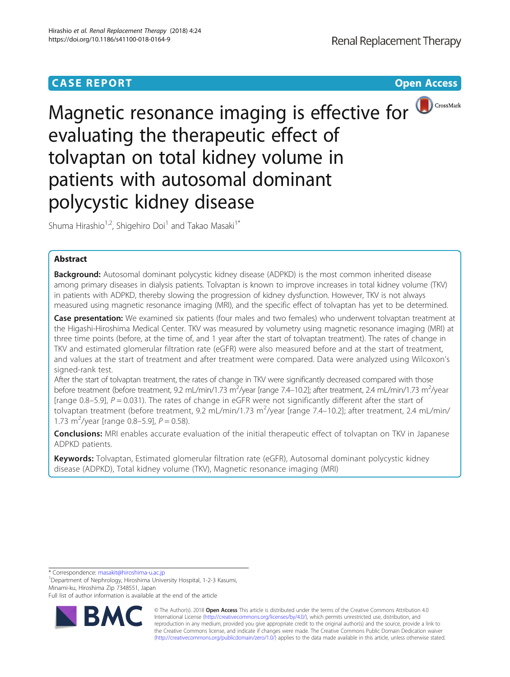# **CASE REPORT CASE REPORT CASE REPORT**



Magnetic resonance imaging is effective for **OCCONG A**CrossMark evaluating the therapeutic effect of tolvaptan on total kidney volume in patients with autosomal dominant polycystic kidney disease

Shuma Hirashio<sup>1,2</sup>, Shigehiro Doi<sup>1</sup> and Takao Masaki<sup>1\*</sup>

## Abstract

**Background:** Autosomal dominant polycystic kidney disease (ADPKD) is the most common inherited disease among primary diseases in dialysis patients. Tolvaptan is known to improve increases in total kidney volume (TKV) in patients with ADPKD, thereby slowing the progression of kidney dysfunction. However, TKV is not always measured using magnetic resonance imaging (MRI), and the specific effect of tolvaptan has yet to be determined.

Case presentation: We examined six patients (four males and two females) who underwent tolvaptan treatment at the Higashi-Hiroshima Medical Center. TKV was measured by volumetry using magnetic resonance imaging (MRI) at three time points (before, at the time of, and 1 year after the start of tolvaptan treatment). The rates of change in TKV and estimated glomerular filtration rate (eGFR) were also measured before and at the start of treatment, and values at the start of treatment and after treatment were compared. Data were analyzed using Wilcoxon's signed-rank test.

After the start of tolvaptan treatment, the rates of change in TKV were significantly decreased compared with those before treatment (before treatment, 9.2 mL/min/1.73 m<sup>2</sup>/year [range 7.4–10.2]; after treatment, 2.4 mL/min/1.73 m<sup>2</sup>/year [range 0.8–5.9],  $P = 0.031$ ). The rates of change in eGFR were not significantly different after the start of tolvaptan treatment (before treatment, 9.2 mL/min/1.73 m<sup>2</sup>/year [range 7.4–10.2]; after treatment, 2.4 mL/min/ 1.73 m<sup>2</sup>/year [range 0.8-5.9],  $P = 0.58$ ).

**Conclusions:** MRI enables accurate evaluation of the initial therapeutic effect of tolvaptan on TKV in Japanese ADPKD patients.

Keywords: Tolvaptan, Estimated glomerular filtration rate (eGFR), Autosomal dominant polycystic kidney disease (ADPKD), Total kidney volume (TKV), Magnetic resonance imaging (MRI)

\* Correspondence: [masakit@hiroshima-u.ac.jp](mailto:masakit@hiroshima-u.ac.jp) <sup>1</sup>

<sup>1</sup>Department of Nephrology, Hiroshima University Hospital, 1-2-3 Kasumi, Minami-ku, Hiroshima Zip 7348551, Japan

Full list of author information is available at the end of the article



© The Author(s). 2018 Open Access This article is distributed under the terms of the Creative Commons Attribution 4.0 International License [\(http://creativecommons.org/licenses/by/4.0/](http://creativecommons.org/licenses/by/4.0/)), which permits unrestricted use, distribution, and reproduction in any medium, provided you give appropriate credit to the original author(s) and the source, provide a link to the Creative Commons license, and indicate if changes were made. The Creative Commons Public Domain Dedication waiver [\(http://creativecommons.org/publicdomain/zero/1.0/](http://creativecommons.org/publicdomain/zero/1.0/)) applies to the data made available in this article, unless otherwise stated.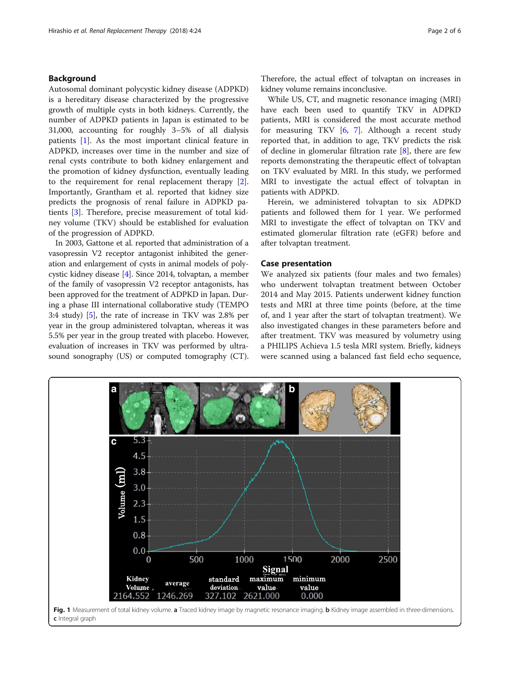## <span id="page-1-0"></span>Background

Autosomal dominant polycystic kidney disease (ADPKD) is a hereditary disease characterized by the progressive growth of multiple cysts in both kidneys. Currently, the number of ADPKD patients in Japan is estimated to be 31,000, accounting for roughly 3–5% of all dialysis patients [[1\]](#page-4-0). As the most important clinical feature in ADPKD, increases over time in the number and size of renal cysts contribute to both kidney enlargement and the promotion of kidney dysfunction, eventually leading to the requirement for renal replacement therapy [\[2](#page-4-0)]. Importantly, Grantham et al. reported that kidney size predicts the prognosis of renal failure in ADPKD patients [[3\]](#page-4-0). Therefore, precise measurement of total kidney volume (TKV) should be established for evaluation of the progression of ADPKD.

In 2003, Gattone et al. reported that administration of a vasopressin V2 receptor antagonist inhibited the generation and enlargement of cysts in animal models of polycystic kidney disease [[4](#page-4-0)]. Since 2014, tolvaptan, a member of the family of vasopressin V2 receptor antagonists, has been approved for the treatment of ADPKD in Japan. During a phase III international collaborative study (TEMPO 3:4 study) [[5\]](#page-4-0), the rate of increase in TKV was 2.8% per year in the group administered tolvaptan, whereas it was 5.5% per year in the group treated with placebo. However, evaluation of increases in TKV was performed by ultrasound sonography (US) or computed tomography (CT).

Therefore, the actual effect of tolvaptan on increases in kidney volume remains inconclusive.

While US, CT, and magnetic resonance imaging (MRI) have each been used to quantify TKV in ADPKD patients, MRI is considered the most accurate method for measuring TKV [\[6](#page-4-0), [7](#page-4-0)]. Although a recent study reported that, in addition to age, TKV predicts the risk of decline in glomerular filtration rate [\[8\]](#page-4-0), there are few reports demonstrating the therapeutic effect of tolvaptan on TKV evaluated by MRI. In this study, we performed MRI to investigate the actual effect of tolvaptan in patients with ADPKD.

Herein, we administered tolvaptan to six ADPKD patients and followed them for 1 year. We performed MRI to investigate the effect of tolvaptan on TKV and estimated glomerular filtration rate (eGFR) before and after tolvaptan treatment.

## Case presentation

We analyzed six patients (four males and two females) who underwent tolvaptan treatment between October 2014 and May 2015. Patients underwent kidney function tests and MRI at three time points (before, at the time of, and 1 year after the start of tolvaptan treatment). We also investigated changes in these parameters before and after treatment. TKV was measured by volumetry using a PHILIPS Achieva 1.5 tesla MRI system. Briefly, kidneys were scanned using a balanced fast field echo sequence,



c Integral graph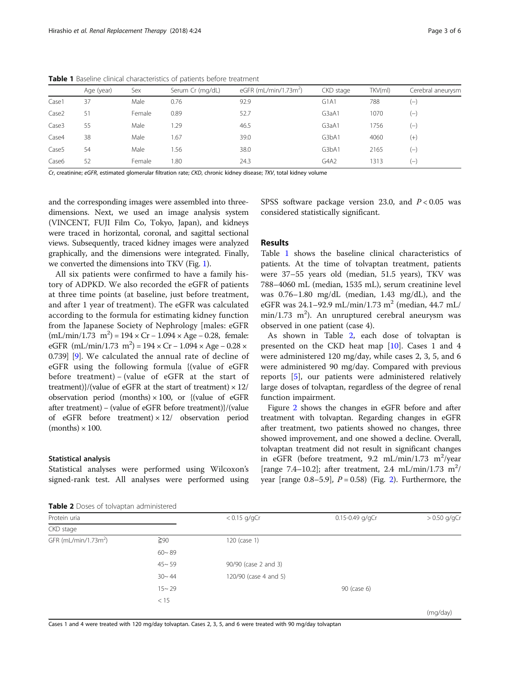|                   | Age (year) | Sex    | Serum Cr (mg/dL) | eGFR (mL/min/1.73m <sup>2</sup> ) | CKD stage | TKV(ml) | Cerebral aneurysm |
|-------------------|------------|--------|------------------|-----------------------------------|-----------|---------|-------------------|
| Case1             | 37         | Male   | 0.76             | 92.9                              | G1A1      | 788     | $(-)$             |
| Case <sub>2</sub> | 51         | Female | 0.89             | 52.7                              | G3aA1     | 1070    | $(-)$             |
| Case3             | 55         | Male   | 1.29             | 46.5                              | G3aA1     | 1756    | $(-)$             |
| Case4             | 38         | Male   | 1.67             | 39.0                              | G3bA1     | 4060    | $^{(+)}$          |
| Case <sub>5</sub> | 54         | Male   | . 56             | 38.0                              | G3bA1     | 2165    | $(-)$             |
| Case6             | 52         | Female | 1.80             | 24.3                              | G4A2      | 1313    | $(-)$             |

Table 1 Baseline clinical characteristics of patients before treatment

Cr, creatinine; eGFR, estimated glomerular filtration rate; CKD, chronic kidney disease; TKV, total kidney volume

and the corresponding images were assembled into threedimensions. Next, we used an image analysis system (VINCENT, FUJI Film Co, Tokyo, Japan), and kidneys were traced in horizontal, coronal, and sagittal sectional views. Subsequently, traced kidney images were analyzed graphically, and the dimensions were integrated. Finally, we converted the dimensions into TKV (Fig. [1\)](#page-1-0).

All six patients were confirmed to have a family history of ADPKD. We also recorded the eGFR of patients at three time points (at baseline, just before treatment, and after 1 year of treatment). The eGFR was calculated according to the formula for estimating kidney function from the Japanese Society of Nephrology [males: eGFR  $(mL/min/1.73 \text{ m}^2) = 194 \times Cr - 1.094 \times Age - 0.28$ , female: eGFR (mL/min/1.73 m<sup>2</sup>) = 194 × Cr – 1.094 × Age – 0.28 × 0.739] [\[9\]](#page-4-0). We calculated the annual rate of decline of eGFR using the following formula {(value of eGFR before treatment) − (value of eGFR at the start of treatment)}/(value of eGFR at the start of treatment)  $\times$  12/ observation period (months)  $\times$  100, or {(value of eGFR after treatment) − (value of eGFR before treatment)}/(value of eGFR before treatment)  $\times$  12/ observation period  $(months) \times 100$ .

#### Statistical analysis

Statistical analyses were performed using Wilcoxon's signed-rank test. All analyses were performed using SPSS software package version 23.0, and  $P < 0.05$  was considered statistically significant.

## Results

Table 1 shows the baseline clinical characteristics of patients. At the time of tolvaptan treatment, patients were 37–55 years old (median, 51.5 years), TKV was 788–4060 mL (median, 1535 mL), serum creatinine level was 0.76–1.80 mg/dL (median, 1.43 mg/dL), and the eGFR was  $24.1 - 92.9$  mL/min/1.73 m<sup>2</sup> (median,  $44.7$  mL/  $min/1.73$  m<sup>2</sup>). An unruptured cerebral aneurysm was observed in one patient (case 4).

As shown in Table 2, each dose of tolvaptan is presented on the CKD heat map [[10\]](#page-4-0). Cases 1 and 4 were administered 120 mg/day, while cases 2, 3, 5, and 6 were administered 90 mg/day. Compared with previous reports [\[5\]](#page-4-0), our patients were administered relatively large doses of tolvaptan, regardless of the degree of renal function impairment.

Figure [2](#page-3-0) shows the changes in eGFR before and after treatment with tolvaptan. Regarding changes in eGFR after treatment, two patients showed no changes, three showed improvement, and one showed a decline. Overall, tolvaptan treatment did not result in significant changes in eGFR (before treatment,  $9.2$  mL/min/1.73 m<sup>2</sup>/year [range 7.4-10.2]; after treatment, 2.4 mL/min/1.73 m<sup>2</sup>/ year [range  $0.8-5.9$ ],  $P = 0.58$ ) (Fig. [2\)](#page-3-0). Furthermore, the

Table 2 Doses of tolvaptan administered

| .                                |           |                       |                     |                |  |  |  |  |
|----------------------------------|-----------|-----------------------|---------------------|----------------|--|--|--|--|
| Protein uria                     |           | $< 0.15$ g/gCr        | $0.15 - 0.49$ g/gCr | $> 0.50$ g/gCı |  |  |  |  |
| CKD stage                        |           |                       |                     |                |  |  |  |  |
| GFR (mL/min/1.73m <sup>2</sup> ) | $\geq 90$ | $120$ (case 1)        |                     |                |  |  |  |  |
|                                  | $60 - 89$ |                       |                     |                |  |  |  |  |
|                                  | $45 - 59$ | 90/90 (case 2 and 3)  |                     |                |  |  |  |  |
|                                  | $30 - 44$ | 120/90 (case 4 and 5) |                     |                |  |  |  |  |
|                                  | $15 - 29$ |                       | 90 (case 6)         |                |  |  |  |  |
|                                  | < 15      |                       |                     |                |  |  |  |  |
|                                  |           |                       |                     | (mg/day)       |  |  |  |  |

Cases 1 and 4 were treated with 120 mg/day tolvaptan. Cases 2, 3, 5, and 6 were treated with 90 mg/day tolvaptan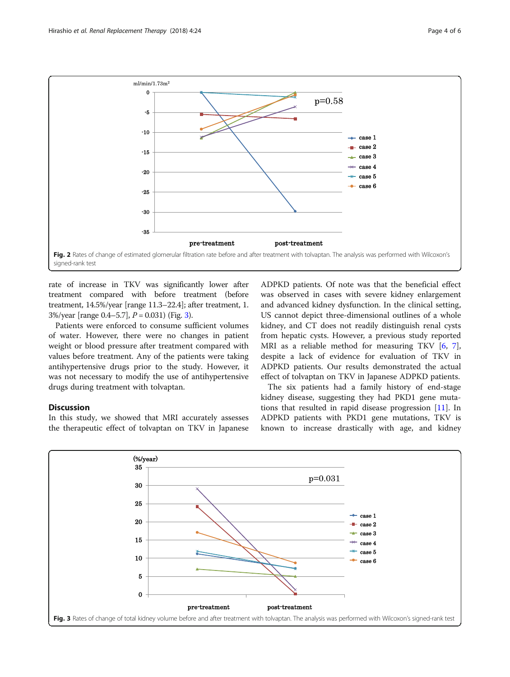<span id="page-3-0"></span>

rate of increase in TKV was significantly lower after treatment compared with before treatment (before treatment, 14.5%/year [range 11.3–22.4]; after treatment, 1. 3%/year [range  $0.4-5.7$ ],  $P = 0.031$ ) (Fig. 3).

Patients were enforced to consume sufficient volumes of water. However, there were no changes in patient weight or blood pressure after treatment compared with values before treatment. Any of the patients were taking antihypertensive drugs prior to the study. However, it was not necessary to modify the use of antihypertensive drugs during treatment with tolvaptan.

## **Discussion**

In this study, we showed that MRI accurately assesses the therapeutic effect of tolvaptan on TKV in Japanese

ADPKD patients. Of note was that the beneficial effect was observed in cases with severe kidney enlargement and advanced kidney dysfunction. In the clinical setting, US cannot depict three-dimensional outlines of a whole kidney, and CT does not readily distinguish renal cysts from hepatic cysts. However, a previous study reported MRI as a reliable method for measuring TKV [[6,](#page-4-0) [7](#page-4-0)], despite a lack of evidence for evaluation of TKV in ADPKD patients. Our results demonstrated the actual effect of tolvaptan on TKV in Japanese ADPKD patients.

The six patients had a family history of end-stage kidney disease, suggesting they had PKD1 gene mutations that resulted in rapid disease progression [[11](#page-4-0)]. In ADPKD patients with PKD1 gene mutations, TKV is known to increase drastically with age, and kidney

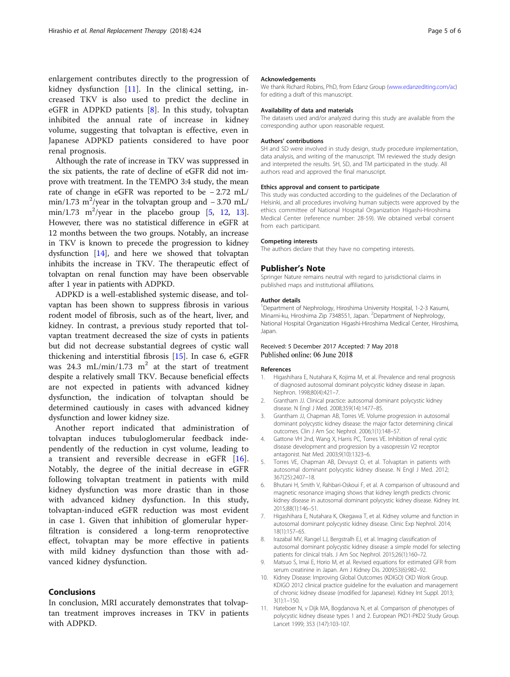<span id="page-4-0"></span>enlargement contributes directly to the progression of kidney dysfunction  $[11]$ . In the clinical setting, increased TKV is also used to predict the decline in eGFR in ADPKD patients  $[8]$ . In this study, tolvaptan inhibited the annual rate of increase in kidney volume, suggesting that tolvaptan is effective, even in Japanese ADPKD patients considered to have poor renal prognosis.

Although the rate of increase in TKV was suppressed in the six patients, the rate of decline of eGFR did not improve with treatment. In the TEMPO 3:4 study, the mean rate of change in eGFR was reported to be − 2.72 mL/ min/1.73 m<sup>2</sup>/year in the tolvaptan group and  $-3.70$  mL/ min/1.73 m<sup>2</sup>/year in the placebo group  $[5, 12, 13]$  $[5, 12, 13]$  $[5, 12, 13]$  $[5, 12, 13]$  $[5, 12, 13]$ . However, there was no statistical difference in eGFR at 12 months between the two groups. Notably, an increase in TKV is known to precede the progression to kidney dysfunction [[14](#page-5-0)], and here we showed that tolvaptan inhibits the increase in TKV. The therapeutic effect of tolvaptan on renal function may have been observable after 1 year in patients with ADPKD.

ADPKD is a well-established systemic disease, and tolvaptan has been shown to suppress fibrosis in various rodent model of fibrosis, such as of the heart, liver, and kidney. In contrast, a previous study reported that tolvaptan treatment decreased the size of cysts in patients but did not decrease substantial degrees of cystic wall thickening and interstitial fibrosis [\[15](#page-5-0)]. In case 6, eGFR was 24.3 mL/min/1.73 m<sup>2</sup> at the start of treatment despite a relatively small TKV. Because beneficial effects are not expected in patients with advanced kidney dysfunction, the indication of tolvaptan should be determined cautiously in cases with advanced kidney dysfunction and lower kidney size.

Another report indicated that administration of tolvaptan induces tubuloglomerular feedback independently of the reduction in cyst volume, leading to a transient and reversible decrease in eGFR [[16](#page-5-0)]. Notably, the degree of the initial decrease in eGFR following tolvaptan treatment in patients with mild kidney dysfunction was more drastic than in those with advanced kidney dysfunction. In this study, tolvaptan-induced eGFR reduction was most evident in case 1. Given that inhibition of glomerular hyperfiltration is considered a long-term renoprotective effect, tolvaptan may be more effective in patients with mild kidney dysfunction than those with advanced kidney dysfunction.

## Conclusions

In conclusion, MRI accurately demonstrates that tolvaptan treatment improves increases in TKV in patients with ADPKD.

#### Acknowledgements

We thank Richard Robins, PhD, from Edanz Group [\(www.edanzediting.com/ac](http://www.edanzediting.com/ac)) for editing a draft of this manuscript.

#### Availability of data and materials

The datasets used and/or analyzed during this study are available from the corresponding author upon reasonable request.

#### Authors' contributions

SH and SD were involved in study design, study procedure implementation, data analysis, and writing of the manuscript. TM reviewed the study design and interpreted the results. SH, SD, and TM participated in the study. All authors read and approved the final manuscript.

#### Ethics approval and consent to participate

This study was conducted according to the guidelines of the Declaration of Helsinki, and all procedures involving human subjects were approved by the ethics committee of National Hospital Organization Higashi-Hiroshima Medical Center (reference number: 28-59). We obtained verbal consent from each participant.

#### Competing interests

The authors declare that they have no competing interests.

#### Publisher's Note

Springer Nature remains neutral with regard to jurisdictional claims in published maps and institutional affiliations.

#### Author details

<sup>1</sup>Department of Nephrology, Hiroshima University Hospital, 1-2-3 Kasumi, Minami-ku, Hiroshima Zip 7348551, Japan. <sup>2</sup>Department of Nephrology National Hospital Organization Higashi-Hiroshima Medical Center, Hiroshima, Japan.

## Received: 5 December 2017 Accepted: 7 May 2018 Published online: 06 June 2018

#### References

- 1. Higashihara E, Nutahara K, Kojima M, et al. Prevalence and renal prognosis of diagnosed autosomal dominant polycystic kidney disease in Japan. Nephron. 1998;80(4):421–7.
- 2. Grantham JJ. Clinical practice: autosomal dominant polycystic kidney disease. N Engl J Med. 2008;359(14):1477–85.
- 3. Grantham JJ, Chapman AB, Torres VE. Volume progression in autosomal dominant polycystic kidney disease: the major factor determining clinical outcomes. Clin J Am Soc Nephrol. 2006;1(1):148–57.
- 4. Gattone VH 2nd, Wang X, Harris PC, Torres VE. Inhibition of renal cystic disease development and progression by a vasopressin V2 receptor antagonist. Nat Med. 2003;9(10):1323–6.
- 5. Torres VE, Chapman AB, Devuyst O, et al. Tolvaptan in patients with autosomal dominant polycystic kidney disease. N Engl J Med. 2012; 367(25):2407–18.
- 6. Bhutani H, Smith V, Rahbari-Oskoui F, et al. A comparison of ultrasound and magnetic resonance imaging shows that kidney length predicts chronic kidney disease in autosomal dominant polycystic kidney disease. Kidney Int. 2015;88(1):146–51.
- 7. Higashihara E, Nutahara K, Okegawa T, et al. Kidney volume and function in autosomal dominant polycystic kidney disease. Clinic Exp Nephrol. 2014; 18(1):157–65.
- 8. Irazabal MV, Rangel LJ, Bergstralh EJ, et al. Imaging classification of autosomal dominant polycystic kidney disease: a simple model for selecting patients for clinical trials. J Am Soc Nephrol. 2015;26(1):160–72.
- 9. Matsuo S, Imai E, Horio M, et al. Revised equations for estimated GFR from serum creatinine in Japan. Am J Kidney Dis. 2009;53(6):982–92.
- 10. Kidney Disease: Improving Global Outcomes (KDIGO) CKD Work Group. KDIGO 2012 clinical practice guideline for the evaluation and management of chronic kidney disease (modified for Japanese). Kidney Int Suppl. 2013;  $3(1):1-150.$
- 11. Hateboer N, v Dijk MA, Bogdanova N, et al. Comparison of phenotypes of polycystic kidney disease types 1 and 2. European PKD1-PKD2 Study Group. Lancet 1999; 353 (147):103-107.